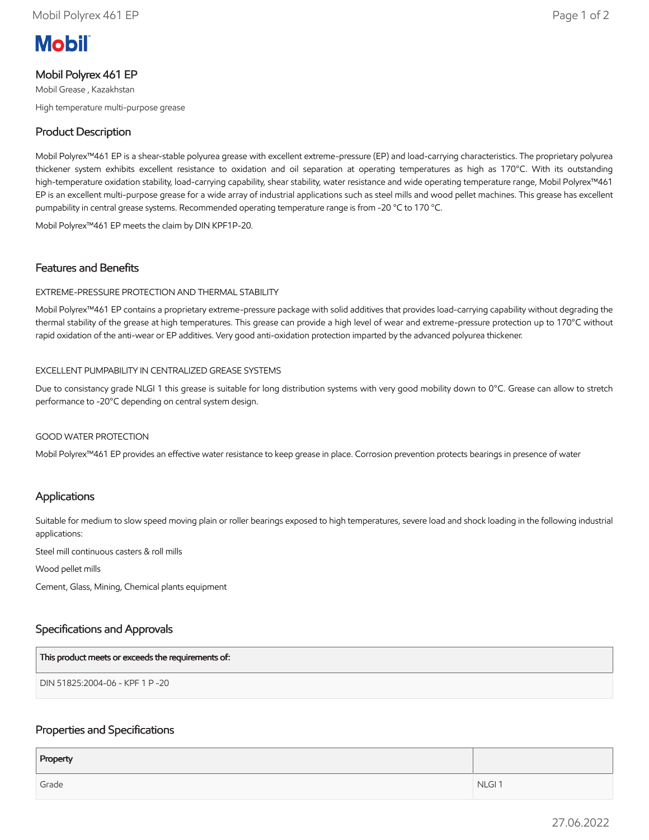# **Mobil**

# Mobil Polyrex 461 EP

Mobil Grease , Kazakhstan High temperature multi-purpose grease

# Product Description

Mobil Polyrex™461 EP is a shear-stable polyurea grease with excellent extreme-pressure (EP) and load-carrying characteristics. The proprietary polyurea thickener system exhibits excellent resistance to oxidation and oil separation at operating temperatures as high as 170°C. With its outstanding high-temperature oxidation stability, load-carrying capability, shear stability, water resistance and wide operating temperature range, Mobil Polyrex™461 EP is an excellent multi-purpose grease for a wide array of industrial applications such as steel mills and wood pellet machines. This grease has excellent pumpability in central grease systems. Recommended operating temperature range is from -20 °C to 170 °C.

Mobil Polyrex™461 EP meets the claim by DIN KPF1P-20.

# Features and Benefits

#### EXTREME-PRESSURE PROTECTION AND THERMAL STABILITY

Mobil Polyrex™461 EP contains a proprietary extreme-pressure package with solid additives that provides load-carrying capability without degrading the thermal stability of the grease at high temperatures. This grease can provide a high level of wear and extreme-pressure protection up to 170°C without rapid oxidation of the anti-wear or EP additives. Very good anti-oxidation protection imparted by the advanced polyurea thickener.

#### EXCELLENT PUMPABILITY IN CENTRALIZED GREASE SYSTEMS

Due to consistancy grade NLGI 1 this grease is suitable for long distribution systems with very good mobility down to 0°C. Grease can allow to stretch performance to -20°C depending on central system design.

#### GOOD WATER PROTECTION

Mobil Polyrex™461 EP provides an effective water resistance to keep grease in place. Corrosion prevention protects bearings in presence of water

# Applications

Suitable for medium to slow speed moving plain or roller bearings exposed to high temperatures, severe load and shock loading in the following industrial applications:

Steel mill continuous casters & roll mills

Wood pellet mills

Cement, Glass, Mining, Chemical plants equipment

# Specifications and Approvals

| This product meets or exceeds the requirements of: |
|----------------------------------------------------|
| DIN 51825:2004-06 - KPF 1 P -20                    |

# Properties and Specifications

| Property |                   |
|----------|-------------------|
| Grade    | NLGI <sub>1</sub> |